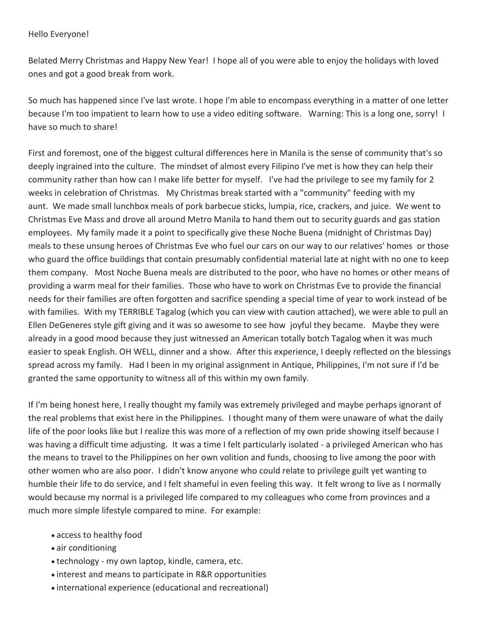## Hello Everyone!

Belated Merry Christmas and Happy New Year! I hope all of you were able to enjoy the holidays with loved ones and got a good break from work.

So much has happened since I've last wrote. I hope I'm able to encompass everything in a matter of one letter because I'm too impatient to learn how to use a video editing software. Warning: This is a long one, sorry! I have so much to share!

First and foremost, one of the biggest cultural differences here in Manila is the sense of community that's so deeply ingrained into the culture. The mindset of almost every Filipino I've met is how they can help their community rather than how can I make life better for myself. I've had the privilege to see my family for 2 weeks in celebration of Christmas. My Christmas break started with a "community" feeding with my aunt. We made small lunchbox meals of pork barbecue sticks, lumpia, rice, crackers, and juice. We went to Christmas Eve Mass and drove all around Metro Manila to hand them out to security guards and gas station employees. My family made it a point to specifically give these Noche Buena (midnight of Christmas Day) meals to these unsung heroes of Christmas Eve who fuel our cars on our way to our relatives' homes or those who guard the office buildings that contain presumably confidential material late at night with no one to keep them company. Most Noche Buena meals are distributed to the poor, who have no homes or other means of providing a warm meal for their families. Those who have to work on Christmas Eve to provide the financial needs for their families are often forgotten and sacrifice spending a special time of year to work instead of be with families. With my TERRIBLE Tagalog (which you can view with caution attached), we were able to pull an Ellen DeGeneres style gift giving and it was so awesome to see how joyful they became. Maybe they were already in a good mood because they just witnessed an American totally botch Tagalog when it was much easier to speak English. OH WELL, dinner and a show. After this experience, I deeply reflected on the blessings spread across my family. Had I been in my original assignment in Antique, Philippines, I'm not sure if I'd be granted the same opportunity to witness all of this within my own family.

If I'm being honest here, I really thought my family was extremely privileged and maybe perhaps ignorant of the real problems that exist here in the Philippines. I thought many of them were unaware of what the daily life of the poor looks like but I realize this was more of a reflection of my own pride showing itself because I was having a difficult time adjusting. It was a time I felt particularly isolated - a privileged American who has the means to travel to the Philippines on her own volition and funds, choosing to live among the poor with other women who are also poor. I didn't know anyone who could relate to privilege guilt yet wanting to humble their life to do service, and I felt shameful in even feeling this way. It felt wrong to live as I normally would because my normal is a privileged life compared to my colleagues who come from provinces and a much more simple lifestyle compared to mine. For example:

- access to healthy food
- air conditioning
- technology my own laptop, kindle, camera, etc.
- interest and means to participate in R&R opportunities
- international experience (educational and recreational)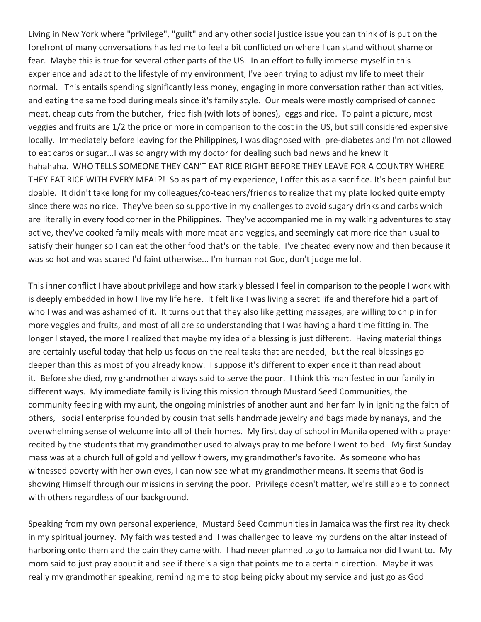Living in New York where "privilege", "guilt" and any other social justice issue you can think of is put on the forefront of many conversations has led me to feel a bit conflicted on where I can stand without shame or fear. Maybe this is true for several other parts of the US. In an effort to fully immerse myself in this experience and adapt to the lifestyle of my environment, I've been trying to adjust my life to meet their normal. This entails spending significantly less money, engaging in more conversation rather than activities, and eating the same food during meals since it's family style. Our meals were mostly comprised of canned meat, cheap cuts from the butcher, fried fish (with lots of bones), eggs and rice. To paint a picture, most veggies and fruits are 1/2 the price or more in comparison to the cost in the US, but still considered expensive locally. Immediately before leaving for the Philippines, I was diagnosed with pre-diabetes and I'm not allowed to eat carbs or sugar...I was so angry with my doctor for dealing such bad news and he knew it hahahaha. WHO TELLS SOMEONE THEY CAN'T EAT RICE RIGHT BEFORE THEY LEAVE FOR A COUNTRY WHERE THEY EAT RICE WITH EVERY MEAL?! So as part of my experience, I offer this as a sacrifice. It's been painful but doable. It didn't take long for my colleagues/co-teachers/friends to realize that my plate looked quite empty since there was no rice. They've been so supportive in my challenges to avoid sugary drinks and carbs which are literally in every food corner in the Philippines. They've accompanied me in my walking adventures to stay active, they've cooked family meals with more meat and veggies, and seemingly eat more rice than usual to satisfy their hunger so I can eat the other food that's on the table. I've cheated every now and then because it was so hot and was scared I'd faint otherwise... I'm human not God, don't judge me lol.

This inner conflict I have about privilege and how starkly blessed I feel in comparison to the people I work with is deeply embedded in how I live my life here. It felt like I was living a secret life and therefore hid a part of who I was and was ashamed of it. It turns out that they also like getting massages, are willing to chip in for more veggies and fruits, and most of all are so understanding that I was having a hard time fitting in. The longer I stayed, the more I realized that maybe my idea of a blessing is just different. Having material things are certainly useful today that help us focus on the real tasks that are needed, but the real blessings go deeper than this as most of you already know. I suppose it's different to experience it than read about it. Before she died, my grandmother always said to serve the poor. I think this manifested in our family in different ways. My immediate family is living this mission through Mustard Seed Communities, the community feeding with my aunt, the ongoing ministries of another aunt and her family in igniting the faith of others, social enterprise founded by cousin that sells handmade jewelry and bags made by nanays, and the overwhelming sense of welcome into all of their homes. My first day of school in Manila opened with a prayer recited by the students that my grandmother used to always pray to me before I went to bed. My first Sunday mass was at a church full of gold and yellow flowers, my grandmother's favorite. As someone who has witnessed poverty with her own eyes, I can now see what my grandmother means. It seems that God is showing Himself through our missions in serving the poor. Privilege doesn't matter, we're still able to connect with others regardless of our background.

Speaking from my own personal experience, Mustard Seed Communities in Jamaica was the first reality check in my spiritual journey. My faith was tested and I was challenged to leave my burdens on the altar instead of harboring onto them and the pain they came with. I had never planned to go to Jamaica nor did I want to. My mom said to just pray about it and see if there's a sign that points me to a certain direction. Maybe it was really my grandmother speaking, reminding me to stop being picky about my service and just go as God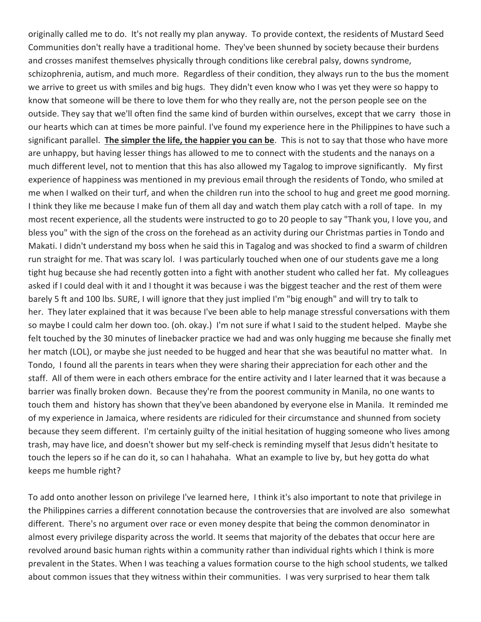originally called me to do. It's not really my plan anyway. To provide context, the residents of Mustard Seed Communities don't really have a traditional home. They've been shunned by society because their burdens and crosses manifest themselves physically through conditions like cerebral palsy, downs syndrome, schizophrenia, autism, and much more. Regardless of their condition, they always run to the bus the moment we arrive to greet us with smiles and big hugs. They didn't even know who I was yet they were so happy to know that someone will be there to love them for who they really are, not the person people see on the outside. They say that we'll often find the same kind of burden within ourselves, except that we carry those in our hearts which can at times be more painful. I've found my experience here in the Philippines to have such a significant parallel. **The simpler the life, the happier you can be**. This is not to say that those who have more are unhappy, but having lesser things has allowed to me to connect with the students and the nanays on a much different level, not to mention that this has also allowed my Tagalog to improve significantly. My first experience of happiness was mentioned in my previous email through the residents of Tondo, who smiled at me when I walked on their turf, and when the children run into the school to hug and greet me good morning. I think they like me because I make fun of them all day and watch them play catch with a roll of tape. In my most recent experience, all the students were instructed to go to 20 people to say "Thank you, I love you, and bless you" with the sign of the cross on the forehead as an activity during our Christmas parties in Tondo and Makati. I didn't understand my boss when he said this in Tagalog and was shocked to find a swarm of children run straight for me. That was scary lol. I was particularly touched when one of our students gave me a long tight hug because she had recently gotten into a fight with another student who called her fat. My colleagues asked if I could deal with it and I thought it was because i was the biggest teacher and the rest of them were barely 5 ft and 100 lbs. SURE, I will ignore that they just implied I'm "big enough" and will try to talk to her. They later explained that it was because I've been able to help manage stressful conversations with them so maybe I could calm her down too. (oh. okay.) I'm not sure if what I said to the student helped. Maybe she felt touched by the 30 minutes of linebacker practice we had and was only hugging me because she finally met her match (LOL), or maybe she just needed to be hugged and hear that she was beautiful no matter what. In Tondo, I found all the parents in tears when they were sharing their appreciation for each other and the staff. All of them were in each others embrace for the entire activity and I later learned that it was because a barrier was finally broken down. Because they're from the poorest community in Manila, no one wants to touch them and history has shown that they've been abandoned by everyone else in Manila. It reminded me of my experience in Jamaica, where residents are ridiculed for their circumstance and shunned from society because they seem different. I'm certainly guilty of the initial hesitation of hugging someone who lives among trash, may have lice, and doesn't shower but my self-check is reminding myself that Jesus didn't hesitate to touch the lepers so if he can do it, so can I hahahaha. What an example to live by, but hey gotta do what keeps me humble right?

To add onto another lesson on privilege I've learned here, I think it's also important to note that privilege in the Philippines carries a different connotation because the controversies that are involved are also somewhat different. There's no argument over race or even money despite that being the common denominator in almost every privilege disparity across the world. It seems that majority of the debates that occur here are revolved around basic human rights within a community rather than individual rights which I think is more prevalent in the States. When I was teaching a values formation course to the high school students, we talked about common issues that they witness within their communities. I was very surprised to hear them talk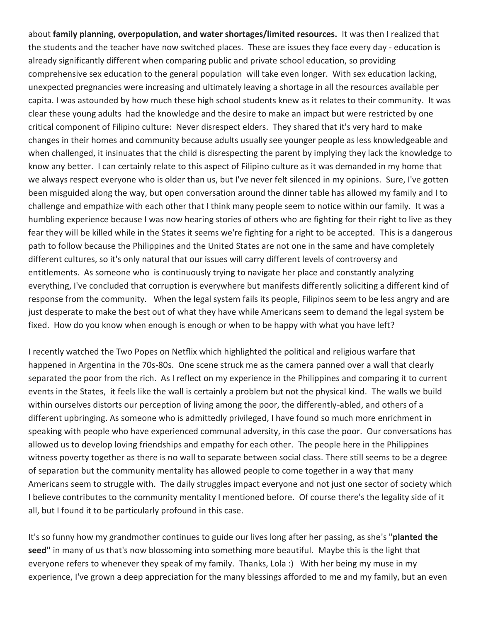about **family planning, overpopulation, and water shortages/limited resources.** It was then I realized that the students and the teacher have now switched places. These are issues they face every day - education is already significantly different when comparing public and private school education, so providing comprehensive sex education to the general population will take even longer. With sex education lacking, unexpected pregnancies were increasing and ultimately leaving a shortage in all the resources available per capita. I was astounded by how much these high school students knew as it relates to their community. It was clear these young adults had the knowledge and the desire to make an impact but were restricted by one critical component of Filipino culture: Never disrespect elders. They shared that it's very hard to make changes in their homes and community because adults usually see younger people as less knowledgeable and when challenged, it insinuates that the child is disrespecting the parent by implying they lack the knowledge to know any better. I can certainly relate to this aspect of Filipino culture as it was demanded in my home that we always respect everyone who is older than us, but I've never felt silenced in my opinions. Sure, I've gotten been misguided along the way, but open conversation around the dinner table has allowed my family and I to challenge and empathize with each other that I think many people seem to notice within our family. It was a humbling experience because I was now hearing stories of others who are fighting for their right to live as they fear they will be killed while in the States it seems we're fighting for a right to be accepted. This is a dangerous path to follow because the Philippines and the United States are not one in the same and have completely different cultures, so it's only natural that our issues will carry different levels of controversy and entitlements. As someone who is continuously trying to navigate her place and constantly analyzing everything, I've concluded that corruption is everywhere but manifests differently soliciting a different kind of response from the community. When the legal system fails its people, Filipinos seem to be less angry and are just desperate to make the best out of what they have while Americans seem to demand the legal system be fixed. How do you know when enough is enough or when to be happy with what you have left?

I recently watched the Two Popes on Netflix which highlighted the political and religious warfare that happened in Argentina in the 70s-80s. One scene struck me as the camera panned over a wall that clearly separated the poor from the rich. As I reflect on my experience in the Philippines and comparing it to current events in the States, it feels like the wall is certainly a problem but not the physical kind. The walls we build within ourselves distorts our perception of living among the poor, the differently-abled, and others of a different upbringing. As someone who is admittedly privileged, I have found so much more enrichment in speaking with people who have experienced communal adversity, in this case the poor. Our conversations has allowed us to develop loving friendships and empathy for each other. The people here in the Philippines witness poverty together as there is no wall to separate between social class. There still seems to be a degree of separation but the community mentality has allowed people to come together in a way that many Americans seem to struggle with. The daily struggles impact everyone and not just one sector of society which I believe contributes to the community mentality I mentioned before. Of course there's the legality side of it all, but I found it to be particularly profound in this case.

It's so funny how my grandmother continues to guide our lives long after her passing, as she's "**planted the seed"** in many of us that's now blossoming into something more beautiful. Maybe this is the light that everyone refers to whenever they speak of my family. Thanks, Lola :) With her being my muse in my experience, I've grown a deep appreciation for the many blessings afforded to me and my family, but an even